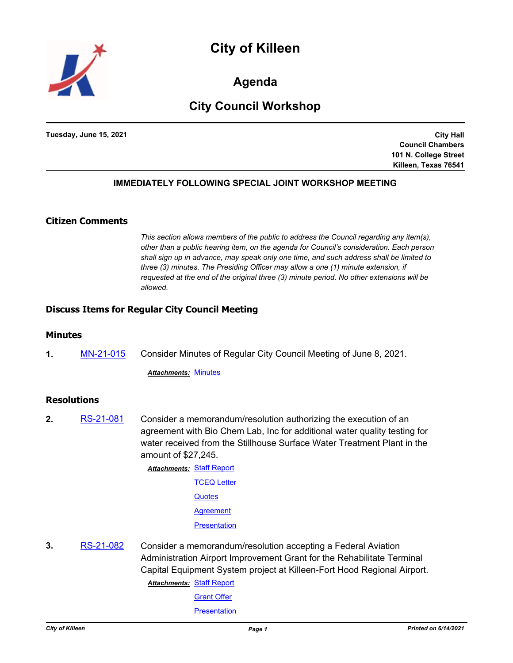



**Agenda**

# **City Council Workshop**

**Tuesday, June 15, 2021**

**City Hall Council Chambers 101 N. College Street Killeen, Texas 76541**

## **IMMEDIATELY FOLLOWING SPECIAL JOINT WORKSHOP MEETING**

## **Citizen Comments**

*This section allows members of the public to address the Council regarding any item(s), other than a public hearing item, on the agenda for Council's consideration. Each person shall sign up in advance, may speak only one time, and such address shall be limited to three (3) minutes. The Presiding Officer may allow a one (1) minute extension, if requested at the end of the original three (3) minute period. No other extensions will be allowed.*

#### **Discuss Items for Regular City Council Meeting**

#### **Minutes**

**1.** [MN-21-015](http://killeen.legistar.com/gateway.aspx?m=l&id=/matter.aspx?key=5522) Consider Minutes of Regular City Council Meeting of June 8, 2021.

*Attachments:* [Minutes](http://killeen.legistar.com/gateway.aspx?M=F&ID=cc807c36-03fe-462b-baea-11a482143964.pdf)

#### **Resolutions**

**2.** [RS-21-081](http://killeen.legistar.com/gateway.aspx?m=l&id=/matter.aspx?key=5512) Consider a memorandum/resolution authorizing the execution of an agreement with Bio Chem Lab, Inc for additional water quality testing for water received from the Stillhouse Surface Water Treatment Plant in the amount of \$27,245.

> **Attachments: [Staff Report](http://killeen.legistar.com/gateway.aspx?M=F&ID=4cd1f475-9f99-4e34-bf57-1c2941f31821.pdf)** [TCEQ Letter](http://killeen.legistar.com/gateway.aspx?M=F&ID=39e9babf-3f21-40ba-8af4-adc0694ae3ff.pdf) **[Quotes](http://killeen.legistar.com/gateway.aspx?M=F&ID=58a48cd1-51ca-42c3-8a35-07fe86e3d589.pdf) [Agreement](http://killeen.legistar.com/gateway.aspx?M=F&ID=93f645cf-cd33-4f76-8fa3-ddc946f033af.pdf) [Presentation](http://killeen.legistar.com/gateway.aspx?M=F&ID=decd4531-9c03-47ee-b710-d607ba563fe6.pdf)**

**3.** [RS-21-082](http://killeen.legistar.com/gateway.aspx?m=l&id=/matter.aspx?key=5515) Consider a memorandum/resolution accepting a Federal Aviation Administration Airport Improvement Grant for the Rehabilitate Terminal Capital Equipment System project at Killeen-Fort Hood Regional Airport.

**Attachments: [Staff Report](http://killeen.legistar.com/gateway.aspx?M=F&ID=8a4430ba-7ae4-48a1-9f22-74bb68038ccb.pdf)** 

[Grant Offer](http://killeen.legistar.com/gateway.aspx?M=F&ID=ddd135d4-4204-4d09-b761-c64c7da58f36.pdf)

**[Presentation](http://killeen.legistar.com/gateway.aspx?M=F&ID=7bb14357-83cd-44a3-9ee8-8b5a056a82aa.pdf)**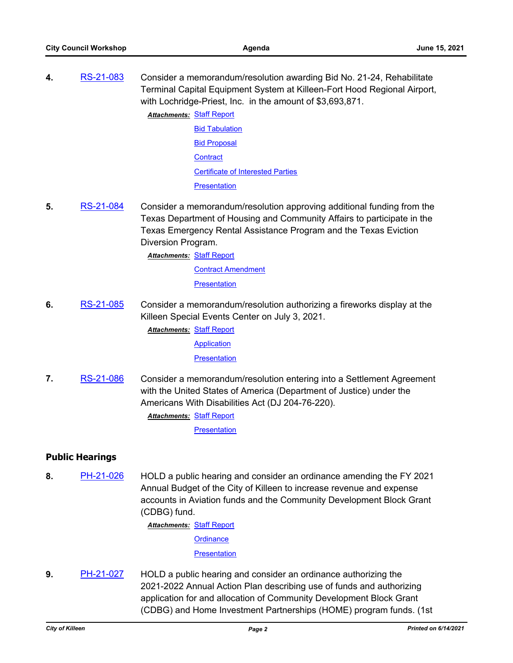- **4.** [RS-21-083](http://killeen.legistar.com/gateway.aspx?m=l&id=/matter.aspx?key=5516) Consider a memorandum/resolution awarding Bid No. 21-24, Rehabilitate Terminal Capital Equipment System at Killeen-Fort Hood Regional Airport, with Lochridge-Priest, Inc. in the amount of \$3,693,871. **Attachments: [Staff Report](http://killeen.legistar.com/gateway.aspx?M=F&ID=3cb0d96e-4495-461b-b751-5f9230d3cb83.pdf)** [Bid Tabulation](http://killeen.legistar.com/gateway.aspx?M=F&ID=83738e79-3322-46b0-b8b4-a467fcd2ae2a.pdf) **[Bid Proposal](http://killeen.legistar.com/gateway.aspx?M=F&ID=f5a38019-0ea3-48eb-ab84-4e213033e27f.pdf) [Contract](http://killeen.legistar.com/gateway.aspx?M=F&ID=ec7526d5-811b-48b5-ae13-0dd03fc58f7d.pdf)** [Certificate of Interested Parties](http://killeen.legistar.com/gateway.aspx?M=F&ID=b50a98b4-0395-40d7-b615-f5ba94ec3d61.pdf) **[Presentation](http://killeen.legistar.com/gateway.aspx?M=F&ID=3c499f55-4211-41a1-9395-6789bf2c9056.pdf)**
- **5.** [RS-21-084](http://killeen.legistar.com/gateway.aspx?m=l&id=/matter.aspx?key=5506) Consider a memorandum/resolution approving additional funding from the Texas Department of Housing and Community Affairs to participate in the Texas Emergency Rental Assistance Program and the Texas Eviction Diversion Program.

**Attachments: [Staff Report](http://killeen.legistar.com/gateway.aspx?M=F&ID=31b2f17b-113e-40b0-964f-530152611e0c.pdf)** 

[Contract Amendment](http://killeen.legistar.com/gateway.aspx?M=F&ID=a2687b34-b2b2-4457-a432-784a92978b49.pdf) **[Presentation](http://killeen.legistar.com/gateway.aspx?M=F&ID=3331d9ed-3ea7-4d3f-b372-f6309fadea4f.pdf)** 

**6.** [RS-21-085](http://killeen.legistar.com/gateway.aspx?m=l&id=/matter.aspx?key=5529) Consider a memorandum/resolution authorizing a fireworks display at the Killeen Special Events Center on July 3, 2021.

**Attachments: [Staff Report](http://killeen.legistar.com/gateway.aspx?M=F&ID=0b6956cb-da34-481d-9832-a4028df45837.pdf)** 

[Application](http://killeen.legistar.com/gateway.aspx?M=F&ID=0f29a668-70d2-43ce-aabc-a00f5b974fb9.pdf)

**[Presentation](http://killeen.legistar.com/gateway.aspx?M=F&ID=78c7bfa7-e4c6-4cac-948e-185f2a936cea.pdf)** 

**7.** [RS-21-086](http://killeen.legistar.com/gateway.aspx?m=l&id=/matter.aspx?key=5531) Consider a memorandum/resolution entering into a Settlement Agreement with the United States of America (Department of Justice) under the Americans With Disabilities Act (DJ 204-76-220).

**Attachments: [Staff Report](http://killeen.legistar.com/gateway.aspx?M=F&ID=a3866ea6-1918-4942-ad6f-eb1077d46e9c.pdf)** 

**[Presentation](http://killeen.legistar.com/gateway.aspx?M=F&ID=ed821fda-7f63-462b-a5bf-98ed8dd3e45f.pdf)** 

## **Public Hearings**

**8.** [PH-21-026](http://killeen.legistar.com/gateway.aspx?m=l&id=/matter.aspx?key=5507) HOLD a public hearing and consider an ordinance amending the FY 2021 Annual Budget of the City of Killeen to increase revenue and expense accounts in Aviation funds and the Community Development Block Grant (CDBG) fund.

**Attachments: [Staff Report](http://killeen.legistar.com/gateway.aspx?M=F&ID=4d00db69-168f-4d5f-b73b-5ab334024f0a.pdf)** 

**[Ordinance](http://killeen.legistar.com/gateway.aspx?M=F&ID=a9662993-6662-4809-8a51-0b0039bce4db.pdf)** 

**[Presentation](http://killeen.legistar.com/gateway.aspx?M=F&ID=e08206f1-4b80-4e40-91e1-7b73cd6c56d6.pdf)** 

**9.** [PH-21-027](http://killeen.legistar.com/gateway.aspx?m=l&id=/matter.aspx?key=5513) HOLD a public hearing and consider an ordinance authorizing the 2021-2022 Annual Action Plan describing use of funds and authorizing application for and allocation of Community Development Block Grant (CDBG) and Home Investment Partnerships (HOME) program funds. (1st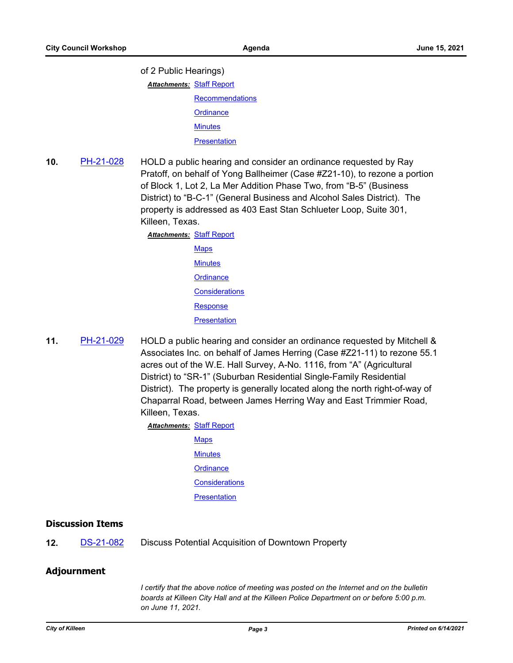of 2 Public Hearings)

**Attachments: [Staff Report](http://killeen.legistar.com/gateway.aspx?M=F&ID=392c9237-bbb3-41c8-9777-152b73265994.pdf)** 

**[Recommendations](http://killeen.legistar.com/gateway.aspx?M=F&ID=df5b3788-6d34-4b81-91d8-a2b182e30ce1.pdf) [Ordinance](http://killeen.legistar.com/gateway.aspx?M=F&ID=d6b85168-978f-4cb8-b45b-08239ac6efc3.pdf) [Minutes](http://killeen.legistar.com/gateway.aspx?M=F&ID=c5602d3b-f482-4682-85d9-5b39dd886714.pdf)** 

**[Presentation](http://killeen.legistar.com/gateway.aspx?M=F&ID=58303be6-1a74-4ec6-af22-6186d5170fc6.pdf)** 

**10.** [PH-21-028](http://killeen.legistar.com/gateway.aspx?m=l&id=/matter.aspx?key=5492) HOLD a public hearing and consider an ordinance requested by Ray Pratoff, on behalf of Yong Ballheimer (Case #Z21-10), to rezone a portion of Block 1, Lot 2, La Mer Addition Phase Two, from "B-5" (Business District) to "B-C-1" (General Business and Alcohol Sales District). The property is addressed as 403 East Stan Schlueter Loop, Suite 301, Killeen, Texas.

> [Staff Report](http://killeen.legistar.com/gateway.aspx?M=F&ID=1ab716ca-adbd-4a5c-9ed2-313583a6876b.pdf) *Attachments:* **[Maps](http://killeen.legistar.com/gateway.aspx?M=F&ID=a9c11ac8-34d2-4d8c-90ee-0823163034d6.pdf) [Minutes](http://killeen.legistar.com/gateway.aspx?M=F&ID=72467dd8-11df-4dc5-b5cf-61ff5ff193ff.pdf) [Ordinance](http://killeen.legistar.com/gateway.aspx?M=F&ID=4b9f3265-1811-4a77-b198-594edb19f119.pdf) [Considerations](http://killeen.legistar.com/gateway.aspx?M=F&ID=c7332595-6c4f-485f-ab8d-2be74c7c25a5.pdf) [Response](http://killeen.legistar.com/gateway.aspx?M=F&ID=ba03a031-5b96-40fe-af24-0cb09cce0b84.pdf) [Presentation](http://killeen.legistar.com/gateway.aspx?M=F&ID=170bac92-b8bf-4c2c-9cc1-1e08d8e539c4.pdf)**

**11.** [PH-21-029](http://killeen.legistar.com/gateway.aspx?m=l&id=/matter.aspx?key=5494) HOLD a public hearing and consider an ordinance requested by Mitchell & Associates Inc. on behalf of James Herring (Case #Z21-11) to rezone 55.1 acres out of the W.E. Hall Survey, A-No. 1116, from "A" (Agricultural District) to "SR-1" (Suburban Residential Single-Family Residential District). The property is generally located along the north right-of-way of Chaparral Road, between James Herring Way and East Trimmier Road, Killeen, Texas.

**Attachments: [Staff Report](http://killeen.legistar.com/gateway.aspx?M=F&ID=f51bc4e0-6838-4641-80e3-44f04eadea2a.pdf)** 

**[Maps](http://killeen.legistar.com/gateway.aspx?M=F&ID=5bea4429-2302-4acd-bff9-7de887abd6c1.pdf) [Minutes](http://killeen.legistar.com/gateway.aspx?M=F&ID=ed5bd537-b8c5-49c3-8c0f-d41935651dbe.pdf) [Ordinance](http://killeen.legistar.com/gateway.aspx?M=F&ID=cf656e67-6e8e-47e0-91d3-f61d545a2a00.pdf) [Considerations](http://killeen.legistar.com/gateway.aspx?M=F&ID=081c23de-07d7-4d96-a05c-62367a1a8422.pdf) [Presentation](http://killeen.legistar.com/gateway.aspx?M=F&ID=18eb73d6-42f5-418a-a671-e61214dac461.pdf)** 

#### **Discussion Items**

12. [DS-21-082](http://killeen.legistar.com/gateway.aspx?m=l&id=/matter.aspx?key=5539) Discuss Potential Acquisition of Downtown Property

## **Adjournment**

*I* certify that the above notice of meeting was posted on the Internet and on the bulletin *boards at Killeen City Hall and at the Killeen Police Department on or before 5:00 p.m. on June 11, 2021.*